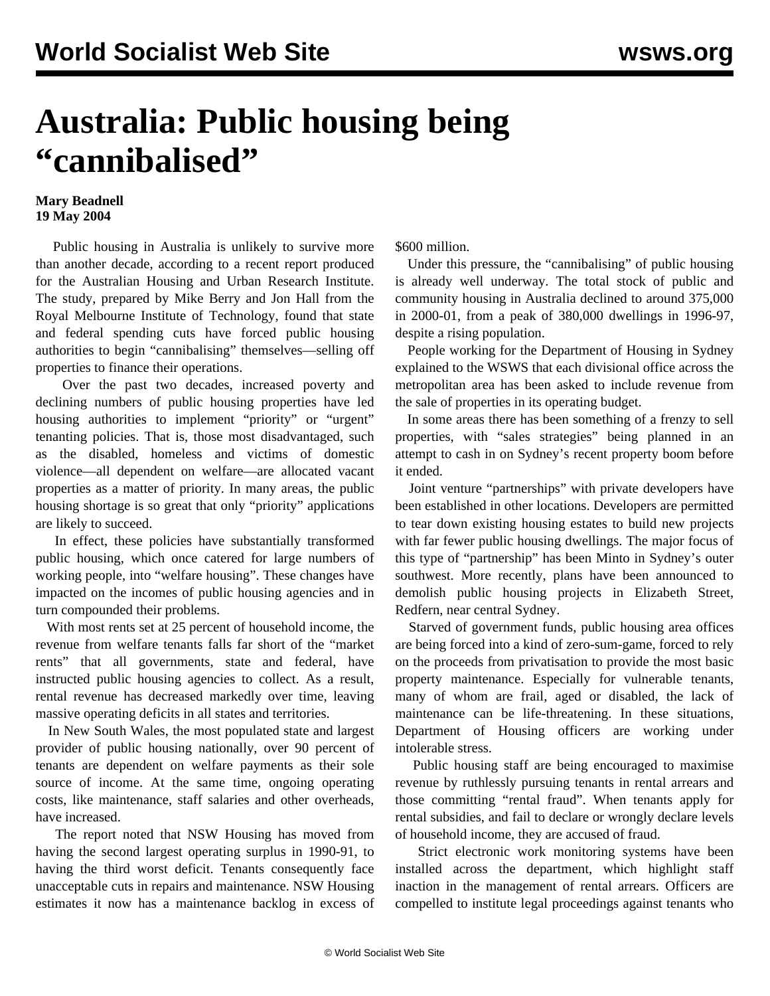## **Australia: Public housing being "cannibalised"**

## **Mary Beadnell 19 May 2004**

 Public housing in Australia is unlikely to survive more than another decade, according to a recent report produced for the Australian Housing and Urban Research Institute. The study, prepared by Mike Berry and Jon Hall from the Royal Melbourne Institute of Technology, found that state and federal spending cuts have forced public housing authorities to begin "cannibalising" themselves—selling off properties to finance their operations.

 Over the past two decades, increased poverty and declining numbers of public housing properties have led housing authorities to implement "priority" or "urgent" tenanting policies. That is, those most disadvantaged, such as the disabled, homeless and victims of domestic violence—all dependent on welfare—are allocated vacant properties as a matter of priority. In many areas, the public housing shortage is so great that only "priority" applications are likely to succeed.

 In effect, these policies have substantially transformed public housing, which once catered for large numbers of working people, into "welfare housing". These changes have impacted on the incomes of public housing agencies and in turn compounded their problems.

 With most rents set at 25 percent of household income, the revenue from welfare tenants falls far short of the "market rents" that all governments, state and federal, have instructed public housing agencies to collect. As a result, rental revenue has decreased markedly over time, leaving massive operating deficits in all states and territories.

 In New South Wales, the most populated state and largest provider of public housing nationally, over 90 percent of tenants are dependent on welfare payments as their sole source of income. At the same time, ongoing operating costs, like maintenance, staff salaries and other overheads, have increased.

 The report noted that NSW Housing has moved from having the second largest operating surplus in 1990-91, to having the third worst deficit. Tenants consequently face unacceptable cuts in repairs and maintenance. NSW Housing estimates it now has a maintenance backlog in excess of \$600 million.

 Under this pressure, the "cannibalising" of public housing is already well underway. The total stock of public and community housing in Australia declined to around 375,000 in 2000-01, from a peak of 380,000 dwellings in 1996-97, despite a rising population.

 People working for the Department of Housing in Sydney explained to the WSWS that each divisional office across the metropolitan area has been asked to include revenue from the sale of properties in its operating budget.

 In some areas there has been something of a frenzy to sell properties, with "sales strategies" being planned in an attempt to cash in on Sydney's recent property boom before it ended.

 Joint venture "partnerships" with private developers have been established in other locations. Developers are permitted to tear down existing housing estates to build new projects with far fewer public housing dwellings. The major focus of this type of "partnership" has been Minto in Sydney's outer southwest. More recently, plans have been announced to demolish public housing projects in Elizabeth Street, Redfern, near central Sydney.

 Starved of government funds, public housing area offices are being forced into a kind of zero-sum-game, forced to rely on the proceeds from privatisation to provide the most basic property maintenance. Especially for vulnerable tenants, many of whom are frail, aged or disabled, the lack of maintenance can be life-threatening. In these situations, Department of Housing officers are working under intolerable stress.

 Public housing staff are being encouraged to maximise revenue by ruthlessly pursuing tenants in rental arrears and those committing "rental fraud". When tenants apply for rental subsidies, and fail to declare or wrongly declare levels of household income, they are accused of fraud.

 Strict electronic work monitoring systems have been installed across the department, which highlight staff inaction in the management of rental arrears. Officers are compelled to institute legal proceedings against tenants who